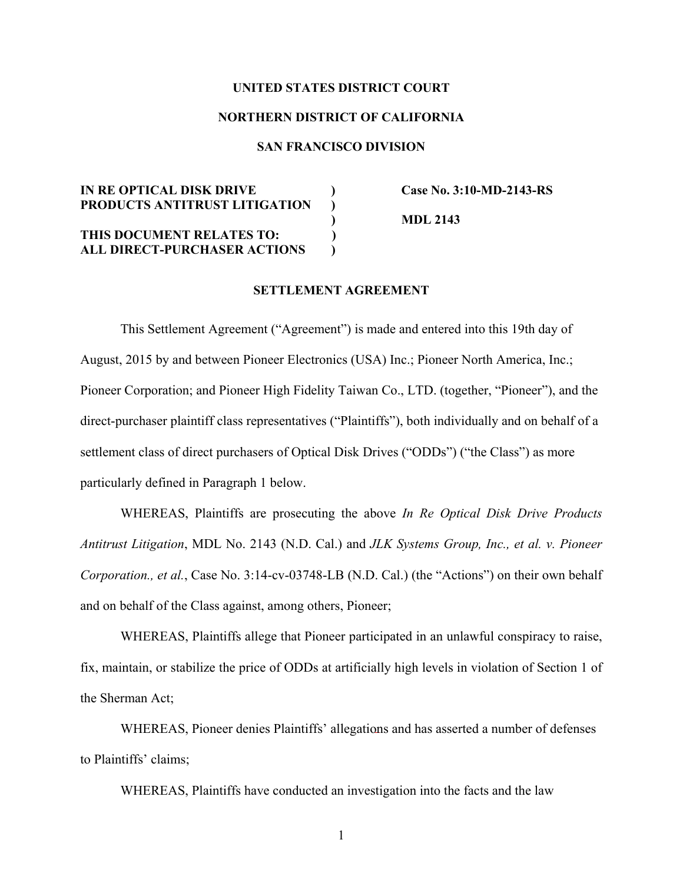## **UNITED STATES DISTRICT COURT**

## **NORTHERN DISTRICT OF CALIFORNIA**

# **SAN FRANCISCO DIVISION**

# **IN RE OPTICAL DISK DRIVE ) Case No. 3:10-MD-2143-RS PRODUCTS ANTITRUST LITIGATION ) THIS DOCUMENT RELATES TO: )**

**ALL DIRECT-PURCHASER ACTIONS )**

 **) MDL 2143** 

# **SETTLEMENT AGREEMENT**

This Settlement Agreement ("Agreement") is made and entered into this 19th day of August, 2015 by and between Pioneer Electronics (USA) Inc.; Pioneer North America, Inc.; Pioneer Corporation; and Pioneer High Fidelity Taiwan Co., LTD. (together, "Pioneer"), and the direct-purchaser plaintiff class representatives ("Plaintiffs"), both individually and on behalf of a settlement class of direct purchasers of Optical Disk Drives ("ODDs") ("the Class") as more particularly defined in Paragraph 1 below.

WHEREAS, Plaintiffs are prosecuting the above *In Re Optical Disk Drive Products Antitrust Litigation*, MDL No. 2143 (N.D. Cal.) and *JLK Systems Group, Inc., et al. v. Pioneer Corporation., et al.*, Case No. 3:14-cv-03748-LB (N.D. Cal.) (the "Actions") on their own behalf and on behalf of the Class against, among others, Pioneer;

WHEREAS, Plaintiffs allege that Pioneer participated in an unlawful conspiracy to raise, fix, maintain, or stabilize the price of ODDs at artificially high levels in violation of Section 1 of the Sherman Act;

WHEREAS, Pioneer denies Plaintiffs' allegations and has asserted a number of defenses to Plaintiffs' claims;

WHEREAS, Plaintiffs have conducted an investigation into the facts and the law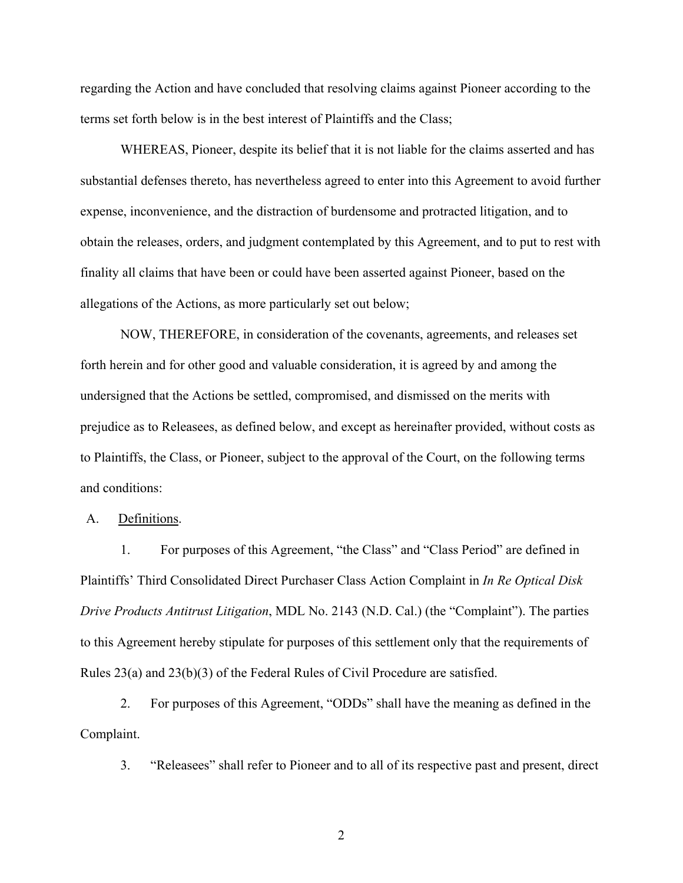regarding the Action and have concluded that resolving claims against Pioneer according to the terms set forth below is in the best interest of Plaintiffs and the Class;

WHEREAS, Pioneer, despite its belief that it is not liable for the claims asserted and has substantial defenses thereto, has nevertheless agreed to enter into this Agreement to avoid further expense, inconvenience, and the distraction of burdensome and protracted litigation, and to obtain the releases, orders, and judgment contemplated by this Agreement, and to put to rest with finality all claims that have been or could have been asserted against Pioneer, based on the allegations of the Actions, as more particularly set out below;

NOW, THEREFORE, in consideration of the covenants, agreements, and releases set forth herein and for other good and valuable consideration, it is agreed by and among the undersigned that the Actions be settled, compromised, and dismissed on the merits with prejudice as to Releasees, as defined below, and except as hereinafter provided, without costs as to Plaintiffs, the Class, or Pioneer, subject to the approval of the Court, on the following terms and conditions:

A. Definitions.

1. For purposes of this Agreement, "the Class" and "Class Period" are defined in Plaintiffs' Third Consolidated Direct Purchaser Class Action Complaint in *In Re Optical Disk Drive Products Antitrust Litigation*, MDL No. 2143 (N.D. Cal.) (the "Complaint"). The parties to this Agreement hereby stipulate for purposes of this settlement only that the requirements of Rules 23(a) and 23(b)(3) of the Federal Rules of Civil Procedure are satisfied.

2. For purposes of this Agreement, "ODDs" shall have the meaning as defined in the Complaint.

3. "Releasees" shall refer to Pioneer and to all of its respective past and present, direct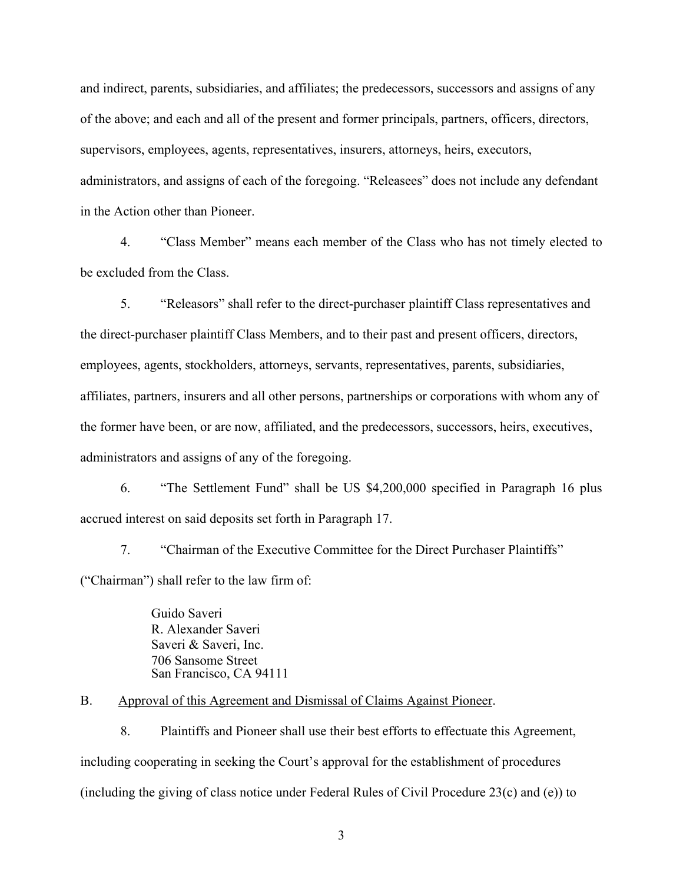and indirect, parents, subsidiaries, and affiliates; the predecessors, successors and assigns of any of the above; and each and all of the present and former principals, partners, officers, directors, supervisors, employees, agents, representatives, insurers, attorneys, heirs, executors, administrators, and assigns of each of the foregoing. "Releasees" does not include any defendant in the Action other than Pioneer.

4. "Class Member" means each member of the Class who has not timely elected to be excluded from the Class.

5. "Releasors" shall refer to the direct-purchaser plaintiff Class representatives and the direct-purchaser plaintiff Class Members, and to their past and present officers, directors, employees, agents, stockholders, attorneys, servants, representatives, parents, subsidiaries, affiliates, partners, insurers and all other persons, partnerships or corporations with whom any of the former have been, or are now, affiliated, and the predecessors, successors, heirs, executives, administrators and assigns of any of the foregoing.

6. "The Settlement Fund" shall be US \$4,200,000 specified in Paragraph 16 plus accrued interest on said deposits set forth in Paragraph 17.

7. "Chairman of the Executive Committee for the Direct Purchaser Plaintiffs" ("Chairman") shall refer to the law firm of:

> Guido Saveri R. Alexander Saveri Saveri & Saveri, Inc. 706 Sansome Street San Francisco, CA 94111

B. Approval of this Agreement and Dismissal of Claims Against Pioneer.

8. Plaintiffs and Pioneer shall use their best efforts to effectuate this Agreement, including cooperating in seeking the Court's approval for the establishment of procedures (including the giving of class notice under Federal Rules of Civil Procedure 23(c) and (e)) to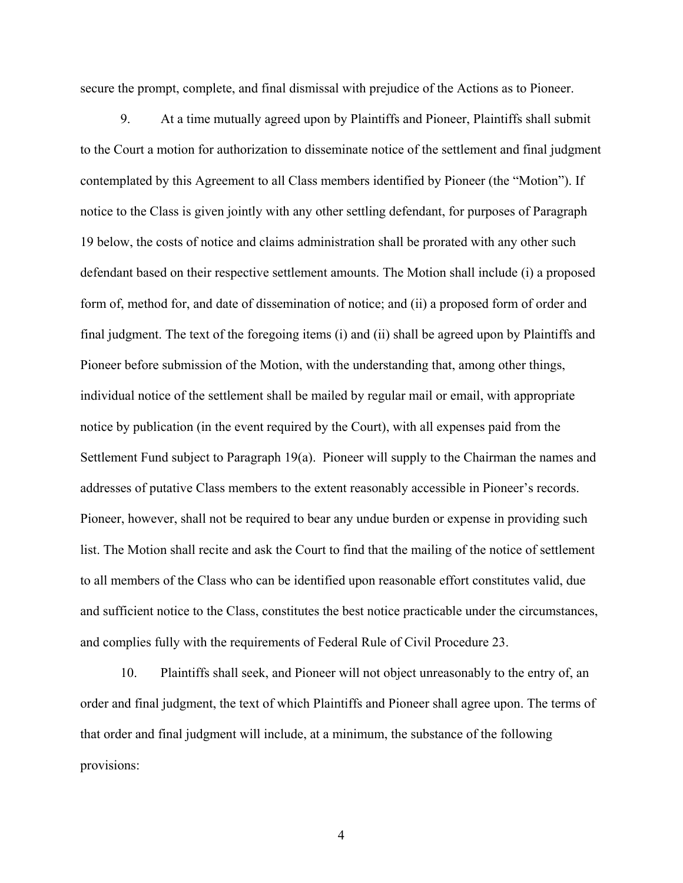secure the prompt, complete, and final dismissal with prejudice of the Actions as to Pioneer.

9. At a time mutually agreed upon by Plaintiffs and Pioneer, Plaintiffs shall submit to the Court a motion for authorization to disseminate notice of the settlement and final judgment contemplated by this Agreement to all Class members identified by Pioneer (the "Motion"). If notice to the Class is given jointly with any other settling defendant, for purposes of Paragraph 19 below, the costs of notice and claims administration shall be prorated with any other such defendant based on their respective settlement amounts. The Motion shall include (i) a proposed form of, method for, and date of dissemination of notice; and (ii) a proposed form of order and final judgment. The text of the foregoing items (i) and (ii) shall be agreed upon by Plaintiffs and Pioneer before submission of the Motion, with the understanding that, among other things, individual notice of the settlement shall be mailed by regular mail or email, with appropriate notice by publication (in the event required by the Court), with all expenses paid from the Settlement Fund subject to Paragraph 19(a). Pioneer will supply to the Chairman the names and addresses of putative Class members to the extent reasonably accessible in Pioneer's records. Pioneer, however, shall not be required to bear any undue burden or expense in providing such list. The Motion shall recite and ask the Court to find that the mailing of the notice of settlement to all members of the Class who can be identified upon reasonable effort constitutes valid, due and sufficient notice to the Class, constitutes the best notice practicable under the circumstances, and complies fully with the requirements of Federal Rule of Civil Procedure 23.

10. Plaintiffs shall seek, and Pioneer will not object unreasonably to the entry of, an order and final judgment, the text of which Plaintiffs and Pioneer shall agree upon. The terms of that order and final judgment will include, at a minimum, the substance of the following provisions: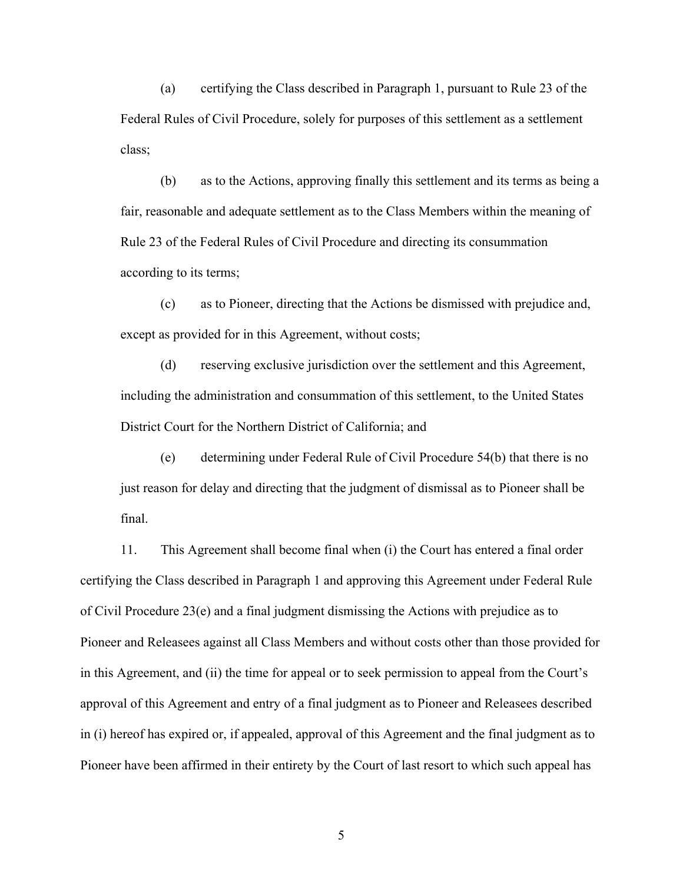(a) certifying the Class described in Paragraph 1, pursuant to Rule 23 of the Federal Rules of Civil Procedure, solely for purposes of this settlement as a settlement class;

(b) as to the Actions, approving finally this settlement and its terms as being a fair, reasonable and adequate settlement as to the Class Members within the meaning of Rule 23 of the Federal Rules of Civil Procedure and directing its consummation according to its terms;

(c) as to Pioneer, directing that the Actions be dismissed with prejudice and, except as provided for in this Agreement, without costs;

(d) reserving exclusive jurisdiction over the settlement and this Agreement, including the administration and consummation of this settlement, to the United States District Court for the Northern District of California; and

(e) determining under Federal Rule of Civil Procedure 54(b) that there is no just reason for delay and directing that the judgment of dismissal as to Pioneer shall be final.

11. This Agreement shall become final when (i) the Court has entered a final order certifying the Class described in Paragraph 1 and approving this Agreement under Federal Rule of Civil Procedure 23(e) and a final judgment dismissing the Actions with prejudice as to Pioneer and Releasees against all Class Members and without costs other than those provided for in this Agreement, and (ii) the time for appeal or to seek permission to appeal from the Court's approval of this Agreement and entry of a final judgment as to Pioneer and Releasees described in (i) hereof has expired or, if appealed, approval of this Agreement and the final judgment as to Pioneer have been affirmed in their entirety by the Court of last resort to which such appeal has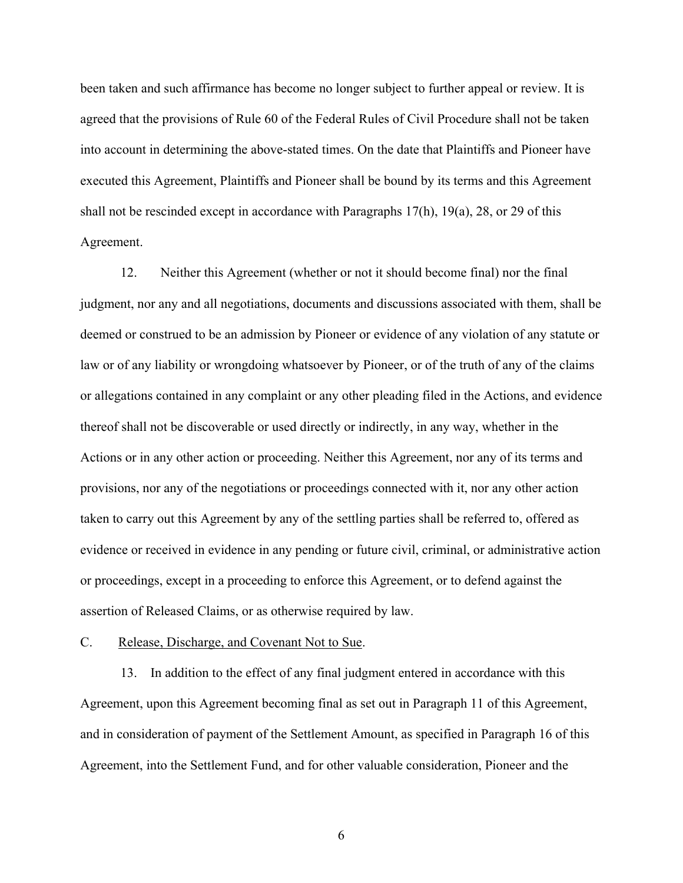been taken and such affirmance has become no longer subject to further appeal or review. It is agreed that the provisions of Rule 60 of the Federal Rules of Civil Procedure shall not be taken into account in determining the above-stated times. On the date that Plaintiffs and Pioneer have executed this Agreement, Plaintiffs and Pioneer shall be bound by its terms and this Agreement shall not be rescinded except in accordance with Paragraphs 17(h), 19(a), 28, or 29 of this Agreement.

12. Neither this Agreement (whether or not it should become final) nor the final judgment, nor any and all negotiations, documents and discussions associated with them, shall be deemed or construed to be an admission by Pioneer or evidence of any violation of any statute or law or of any liability or wrongdoing whatsoever by Pioneer, or of the truth of any of the claims or allegations contained in any complaint or any other pleading filed in the Actions, and evidence thereof shall not be discoverable or used directly or indirectly, in any way, whether in the Actions or in any other action or proceeding. Neither this Agreement, nor any of its terms and provisions, nor any of the negotiations or proceedings connected with it, nor any other action taken to carry out this Agreement by any of the settling parties shall be referred to, offered as evidence or received in evidence in any pending or future civil, criminal, or administrative action or proceedings, except in a proceeding to enforce this Agreement, or to defend against the assertion of Released Claims, or as otherwise required by law.

# C. Release, Discharge, and Covenant Not to Sue.

13. In addition to the effect of any final judgment entered in accordance with this Agreement, upon this Agreement becoming final as set out in Paragraph 11 of this Agreement, and in consideration of payment of the Settlement Amount, as specified in Paragraph 16 of this Agreement, into the Settlement Fund, and for other valuable consideration, Pioneer and the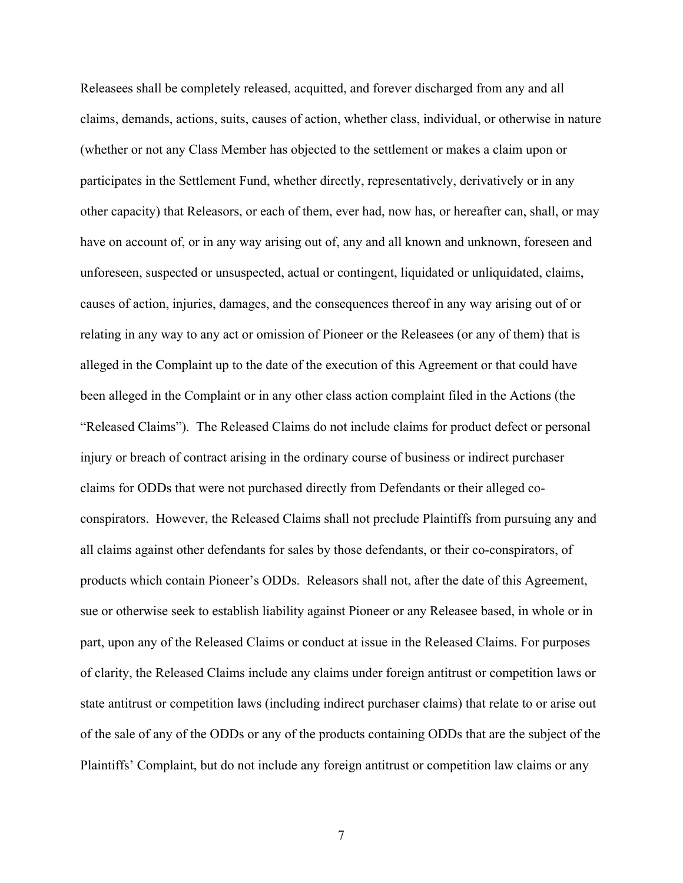Releasees shall be completely released, acquitted, and forever discharged from any and all claims, demands, actions, suits, causes of action, whether class, individual, or otherwise in nature (whether or not any Class Member has objected to the settlement or makes a claim upon or participates in the Settlement Fund, whether directly, representatively, derivatively or in any other capacity) that Releasors, or each of them, ever had, now has, or hereafter can, shall, or may have on account of, or in any way arising out of, any and all known and unknown, foreseen and unforeseen, suspected or unsuspected, actual or contingent, liquidated or unliquidated, claims, causes of action, injuries, damages, and the consequences thereof in any way arising out of or relating in any way to any act or omission of Pioneer or the Releasees (or any of them) that is alleged in the Complaint up to the date of the execution of this Agreement or that could have been alleged in the Complaint or in any other class action complaint filed in the Actions (the "Released Claims"). The Released Claims do not include claims for product defect or personal injury or breach of contract arising in the ordinary course of business or indirect purchaser claims for ODDs that were not purchased directly from Defendants or their alleged coconspirators. However, the Released Claims shall not preclude Plaintiffs from pursuing any and all claims against other defendants for sales by those defendants, or their co-conspirators, of products which contain Pioneer's ODDs. Releasors shall not, after the date of this Agreement, sue or otherwise seek to establish liability against Pioneer or any Releasee based, in whole or in part, upon any of the Released Claims or conduct at issue in the Released Claims. For purposes of clarity, the Released Claims include any claims under foreign antitrust or competition laws or state antitrust or competition laws (including indirect purchaser claims) that relate to or arise out of the sale of any of the ODDs or any of the products containing ODDs that are the subject of the Plaintiffs' Complaint, but do not include any foreign antitrust or competition law claims or any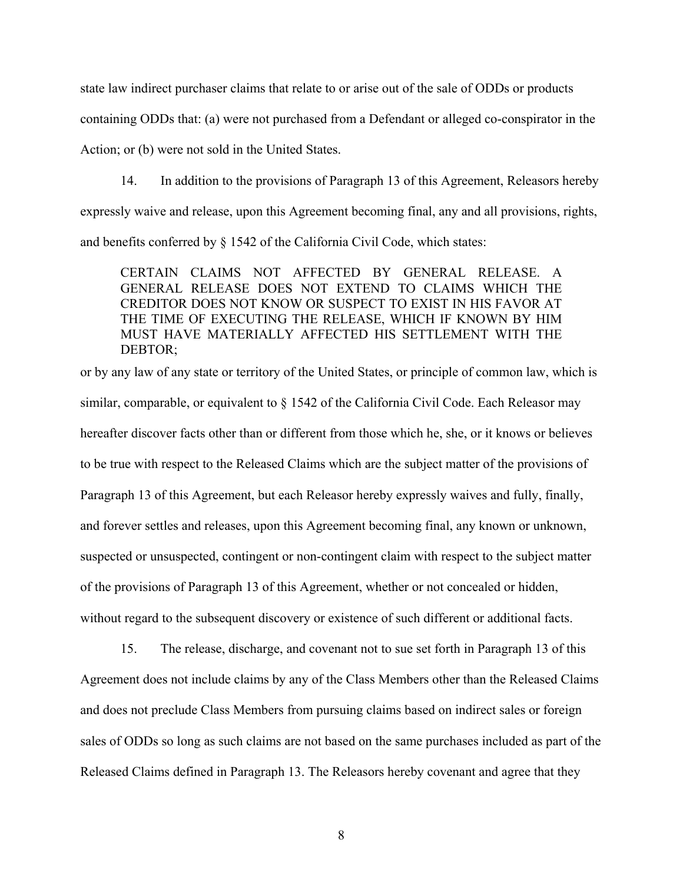state law indirect purchaser claims that relate to or arise out of the sale of ODDs or products containing ODDs that: (a) were not purchased from a Defendant or alleged co-conspirator in the Action; or (b) were not sold in the United States.

14. In addition to the provisions of Paragraph 13 of this Agreement, Releasors hereby expressly waive and release, upon this Agreement becoming final, any and all provisions, rights, and benefits conferred by § 1542 of the California Civil Code, which states:

CERTAIN CLAIMS NOT AFFECTED BY GENERAL RELEASE. A GENERAL RELEASE DOES NOT EXTEND TO CLAIMS WHICH THE CREDITOR DOES NOT KNOW OR SUSPECT TO EXIST IN HIS FAVOR AT THE TIME OF EXECUTING THE RELEASE, WHICH IF KNOWN BY HIM MUST HAVE MATERIALLY AFFECTED HIS SETTLEMENT WITH THE DEBTOR;

or by any law of any state or territory of the United States, or principle of common law, which is similar, comparable, or equivalent to § 1542 of the California Civil Code. Each Releasor may hereafter discover facts other than or different from those which he, she, or it knows or believes to be true with respect to the Released Claims which are the subject matter of the provisions of Paragraph 13 of this Agreement, but each Releasor hereby expressly waives and fully, finally, and forever settles and releases, upon this Agreement becoming final, any known or unknown, suspected or unsuspected, contingent or non-contingent claim with respect to the subject matter of the provisions of Paragraph 13 of this Agreement, whether or not concealed or hidden, without regard to the subsequent discovery or existence of such different or additional facts.

15. The release, discharge, and covenant not to sue set forth in Paragraph 13 of this Agreement does not include claims by any of the Class Members other than the Released Claims and does not preclude Class Members from pursuing claims based on indirect sales or foreign sales of ODDs so long as such claims are not based on the same purchases included as part of the Released Claims defined in Paragraph 13. The Releasors hereby covenant and agree that they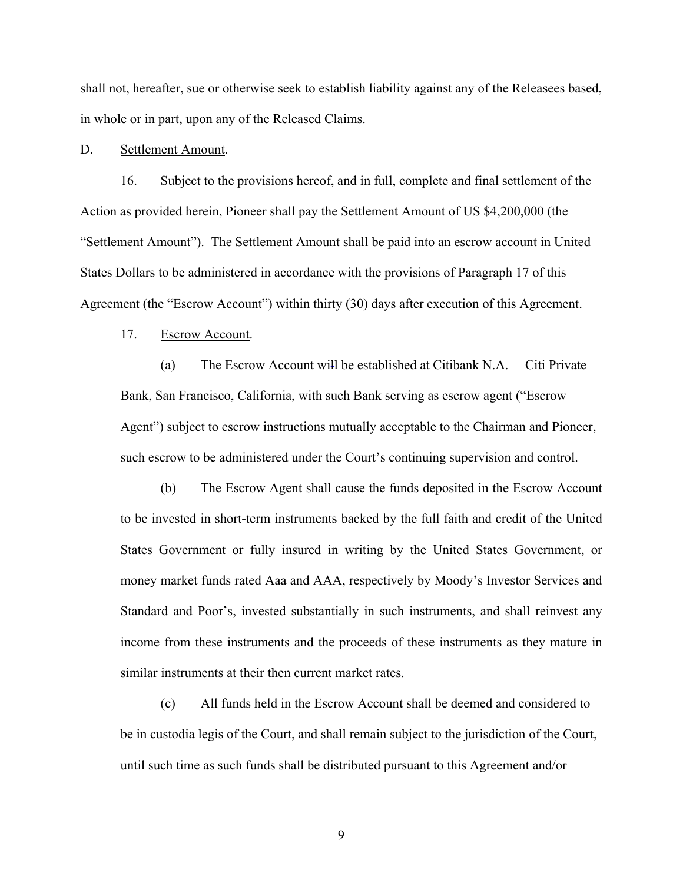shall not, hereafter, sue or otherwise seek to establish liability against any of the Releasees based, in whole or in part, upon any of the Released Claims.

#### D. Settlement Amount.

16. Subject to the provisions hereof, and in full, complete and final settlement of the Action as provided herein, Pioneer shall pay the Settlement Amount of US \$4,200,000 (the "Settlement Amount"). The Settlement Amount shall be paid into an escrow account in United States Dollars to be administered in accordance with the provisions of Paragraph 17 of this Agreement (the "Escrow Account") within thirty (30) days after execution of this Agreement.

## 17. Escrow Account.

(a) The Escrow Account will be established at Citibank N.A.— Citi Private Bank, San Francisco, California, with such Bank serving as escrow agent ("Escrow Agent") subject to escrow instructions mutually acceptable to the Chairman and Pioneer, such escrow to be administered under the Court's continuing supervision and control.

(b) The Escrow Agent shall cause the funds deposited in the Escrow Account to be invested in short-term instruments backed by the full faith and credit of the United States Government or fully insured in writing by the United States Government, or money market funds rated Aaa and AAA, respectively by Moody's Investor Services and Standard and Poor's, invested substantially in such instruments, and shall reinvest any income from these instruments and the proceeds of these instruments as they mature in similar instruments at their then current market rates.

(c) All funds held in the Escrow Account shall be deemed and considered to be in custodia legis of the Court, and shall remain subject to the jurisdiction of the Court, until such time as such funds shall be distributed pursuant to this Agreement and/or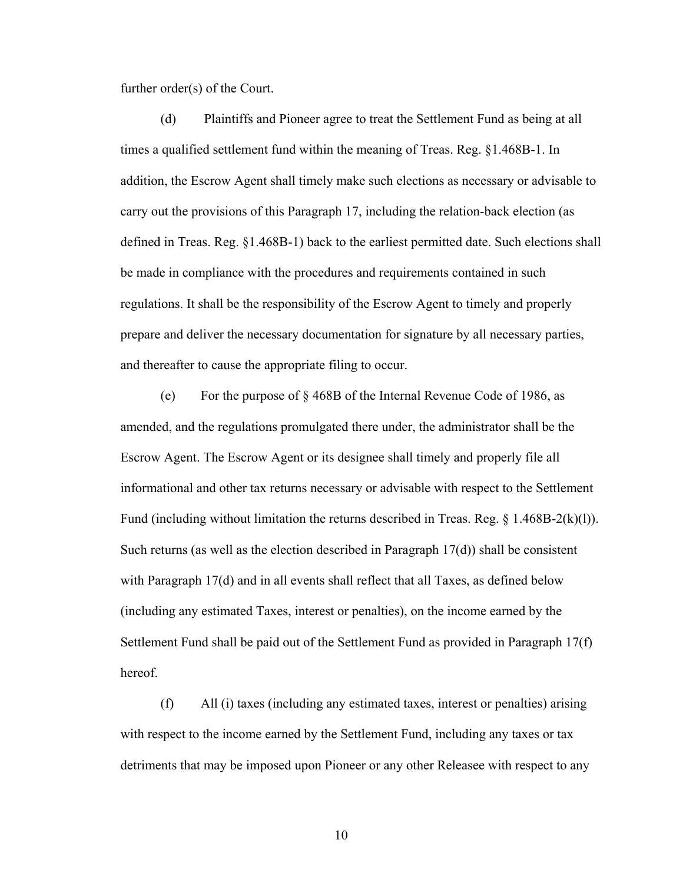further order(s) of the Court.

(d) Plaintiffs and Pioneer agree to treat the Settlement Fund as being at all times a qualified settlement fund within the meaning of Treas. Reg. §1.468B-1. In addition, the Escrow Agent shall timely make such elections as necessary or advisable to carry out the provisions of this Paragraph 17, including the relation-back election (as defined in Treas. Reg. §1.468B-1) back to the earliest permitted date. Such elections shall be made in compliance with the procedures and requirements contained in such regulations. It shall be the responsibility of the Escrow Agent to timely and properly prepare and deliver the necessary documentation for signature by all necessary parties, and thereafter to cause the appropriate filing to occur.

(e) For the purpose of § 468B of the Internal Revenue Code of 1986, as amended, and the regulations promulgated there under, the administrator shall be the Escrow Agent. The Escrow Agent or its designee shall timely and properly file all informational and other tax returns necessary or advisable with respect to the Settlement Fund (including without limitation the returns described in Treas. Reg. § 1.468B-2(k)(l)). Such returns (as well as the election described in Paragraph  $17(d)$ ) shall be consistent with Paragraph 17(d) and in all events shall reflect that all Taxes, as defined below (including any estimated Taxes, interest or penalties), on the income earned by the Settlement Fund shall be paid out of the Settlement Fund as provided in Paragraph 17(f) hereof.

(f) All (i) taxes (including any estimated taxes, interest or penalties) arising with respect to the income earned by the Settlement Fund, including any taxes or tax detriments that may be imposed upon Pioneer or any other Releasee with respect to any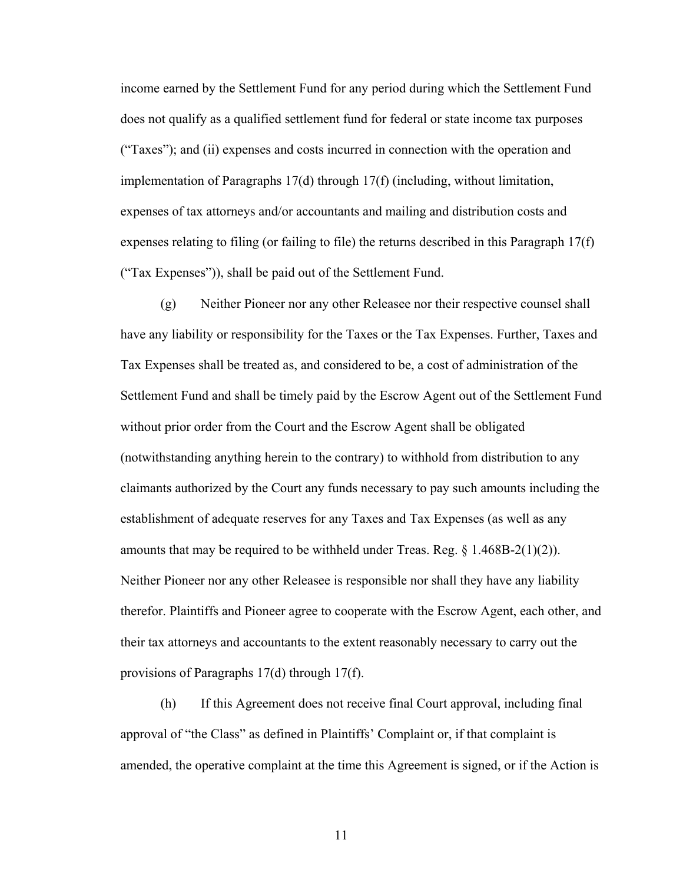income earned by the Settlement Fund for any period during which the Settlement Fund does not qualify as a qualified settlement fund for federal or state income tax purposes ("Taxes"); and (ii) expenses and costs incurred in connection with the operation and implementation of Paragraphs 17(d) through 17(f) (including, without limitation, expenses of tax attorneys and/or accountants and mailing and distribution costs and expenses relating to filing (or failing to file) the returns described in this Paragraph 17(f) ("Tax Expenses")), shall be paid out of the Settlement Fund.

(g) Neither Pioneer nor any other Releasee nor their respective counsel shall have any liability or responsibility for the Taxes or the Tax Expenses. Further, Taxes and Tax Expenses shall be treated as, and considered to be, a cost of administration of the Settlement Fund and shall be timely paid by the Escrow Agent out of the Settlement Fund without prior order from the Court and the Escrow Agent shall be obligated (notwithstanding anything herein to the contrary) to withhold from distribution to any claimants authorized by the Court any funds necessary to pay such amounts including the establishment of adequate reserves for any Taxes and Tax Expenses (as well as any amounts that may be required to be withheld under Treas. Reg.  $\S$  1.468B-2(1)(2)). Neither Pioneer nor any other Releasee is responsible nor shall they have any liability therefor. Plaintiffs and Pioneer agree to cooperate with the Escrow Agent, each other, and their tax attorneys and accountants to the extent reasonably necessary to carry out the provisions of Paragraphs 17(d) through 17(f).

(h) If this Agreement does not receive final Court approval, including final approval of "the Class" as defined in Plaintiffs' Complaint or, if that complaint is amended, the operative complaint at the time this Agreement is signed, or if the Action is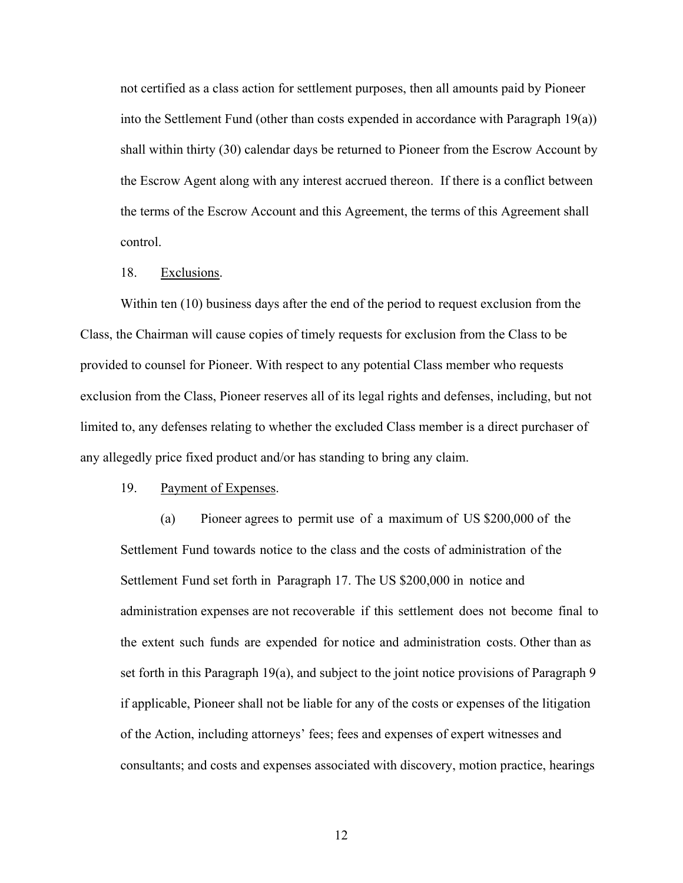not certified as a class action for settlement purposes, then all amounts paid by Pioneer into the Settlement Fund (other than costs expended in accordance with Paragraph 19(a)) shall within thirty (30) calendar days be returned to Pioneer from the Escrow Account by the Escrow Agent along with any interest accrued thereon. If there is a conflict between the terms of the Escrow Account and this Agreement, the terms of this Agreement shall control.

#### 18. Exclusions.

Within ten (10) business days after the end of the period to request exclusion from the Class, the Chairman will cause copies of timely requests for exclusion from the Class to be provided to counsel for Pioneer. With respect to any potential Class member who requests exclusion from the Class, Pioneer reserves all of its legal rights and defenses, including, but not limited to, any defenses relating to whether the excluded Class member is a direct purchaser of any allegedly price fixed product and/or has standing to bring any claim.

## 19. Payment of Expenses.

(a) Pioneer agrees to permit use of a maximum of US \$200,000 of the Settlement Fund towards notice to the class and the costs of administration of the Settlement Fund set forth in Paragraph 17. The US \$200,000 in notice and administration expenses are not recoverable if this settlement does not become final to the extent such funds are expended for notice and administration costs. Other than as set forth in this Paragraph 19(a), and subject to the joint notice provisions of Paragraph 9 if applicable, Pioneer shall not be liable for any of the costs or expenses of the litigation of the Action, including attorneys' fees; fees and expenses of expert witnesses and consultants; and costs and expenses associated with discovery, motion practice, hearings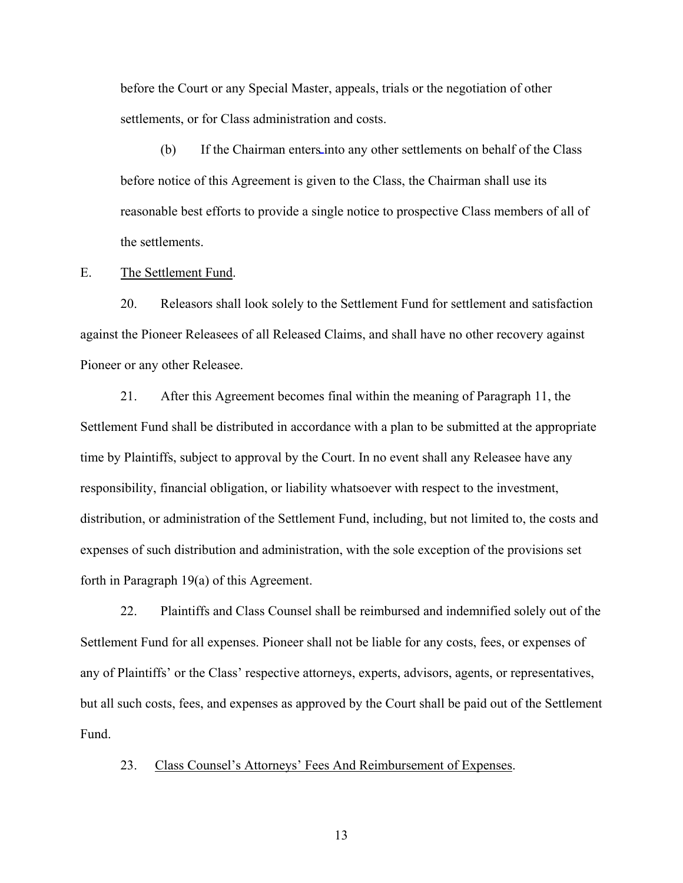before the Court or any Special Master, appeals, trials or the negotiation of other settlements, or for Class administration and costs.

(b) If the Chairman enters into any other settlements on behalf of the Class before notice of this Agreement is given to the Class, the Chairman shall use its reasonable best efforts to provide a single notice to prospective Class members of all of the settlements.

E. The Settlement Fund.

20. Releasors shall look solely to the Settlement Fund for settlement and satisfaction against the Pioneer Releasees of all Released Claims, and shall have no other recovery against Pioneer or any other Releasee.

21. After this Agreement becomes final within the meaning of Paragraph 11, the Settlement Fund shall be distributed in accordance with a plan to be submitted at the appropriate time by Plaintiffs, subject to approval by the Court. In no event shall any Releasee have any responsibility, financial obligation, or liability whatsoever with respect to the investment, distribution, or administration of the Settlement Fund, including, but not limited to, the costs and expenses of such distribution and administration, with the sole exception of the provisions set forth in Paragraph 19(a) of this Agreement.

22. Plaintiffs and Class Counsel shall be reimbursed and indemnified solely out of the Settlement Fund for all expenses. Pioneer shall not be liable for any costs, fees, or expenses of any of Plaintiffs' or the Class' respective attorneys, experts, advisors, agents, or representatives, but all such costs, fees, and expenses as approved by the Court shall be paid out of the Settlement Fund.

23. Class Counsel's Attorneys' Fees And Reimbursement of Expenses.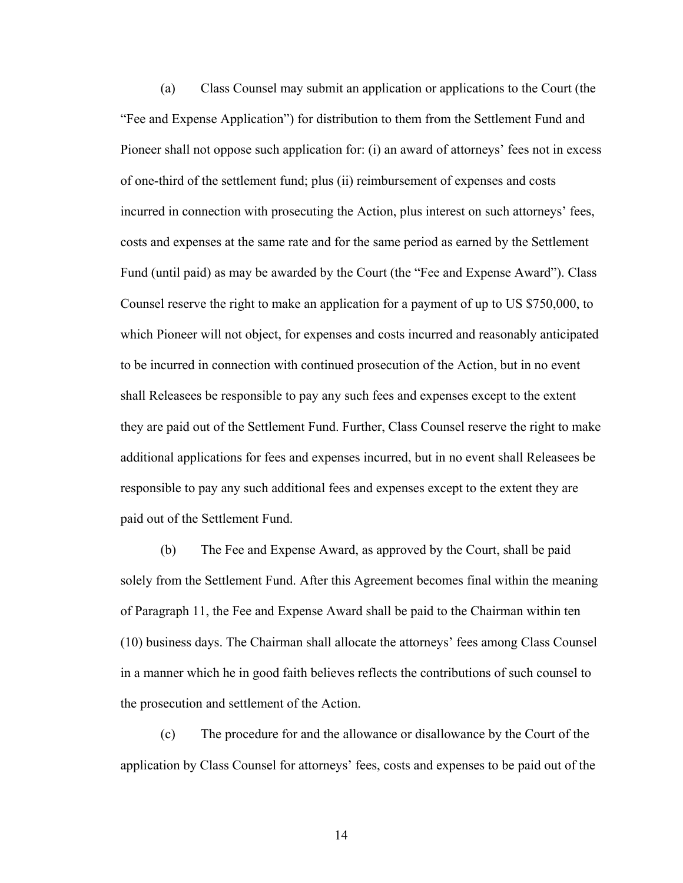(a) Class Counsel may submit an application or applications to the Court (the "Fee and Expense Application") for distribution to them from the Settlement Fund and Pioneer shall not oppose such application for: (i) an award of attorneys' fees not in excess of one-third of the settlement fund; plus (ii) reimbursement of expenses and costs incurred in connection with prosecuting the Action, plus interest on such attorneys' fees, costs and expenses at the same rate and for the same period as earned by the Settlement Fund (until paid) as may be awarded by the Court (the "Fee and Expense Award"). Class Counsel reserve the right to make an application for a payment of up to US \$750,000, to which Pioneer will not object, for expenses and costs incurred and reasonably anticipated to be incurred in connection with continued prosecution of the Action, but in no event shall Releasees be responsible to pay any such fees and expenses except to the extent they are paid out of the Settlement Fund. Further, Class Counsel reserve the right to make additional applications for fees and expenses incurred, but in no event shall Releasees be responsible to pay any such additional fees and expenses except to the extent they are paid out of the Settlement Fund.

(b) The Fee and Expense Award, as approved by the Court, shall be paid solely from the Settlement Fund. After this Agreement becomes final within the meaning of Paragraph 11, the Fee and Expense Award shall be paid to the Chairman within ten (10) business days. The Chairman shall allocate the attorneys' fees among Class Counsel in a manner which he in good faith believes reflects the contributions of such counsel to the prosecution and settlement of the Action.

(c) The procedure for and the allowance or disallowance by the Court of the application by Class Counsel for attorneys' fees, costs and expenses to be paid out of the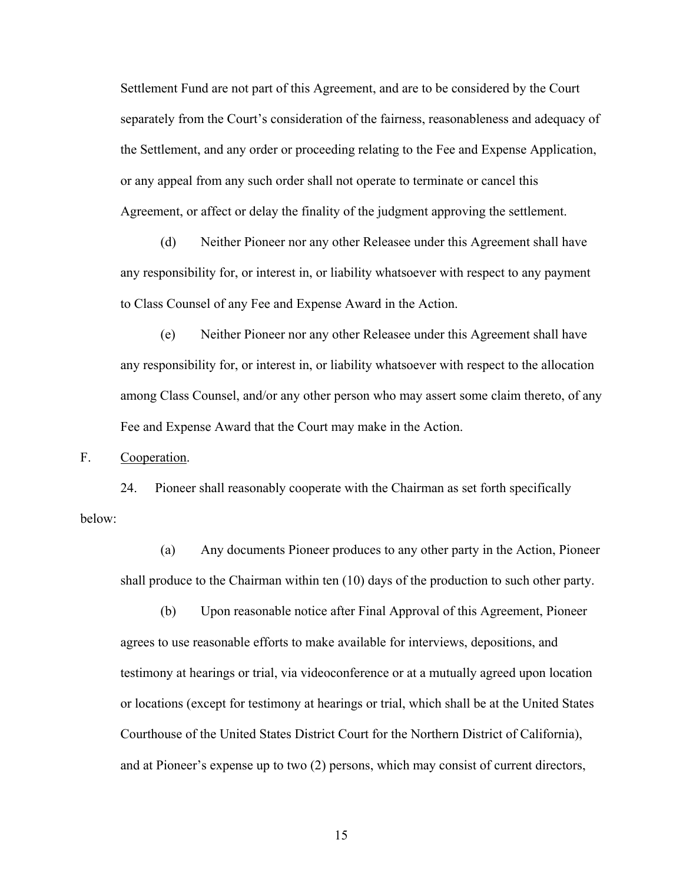Settlement Fund are not part of this Agreement, and are to be considered by the Court separately from the Court's consideration of the fairness, reasonableness and adequacy of the Settlement, and any order or proceeding relating to the Fee and Expense Application, or any appeal from any such order shall not operate to terminate or cancel this Agreement, or affect or delay the finality of the judgment approving the settlement.

(d) Neither Pioneer nor any other Releasee under this Agreement shall have any responsibility for, or interest in, or liability whatsoever with respect to any payment to Class Counsel of any Fee and Expense Award in the Action.

(e) Neither Pioneer nor any other Releasee under this Agreement shall have any responsibility for, or interest in, or liability whatsoever with respect to the allocation among Class Counsel, and/or any other person who may assert some claim thereto, of any Fee and Expense Award that the Court may make in the Action.

F. Cooperation.

24. Pioneer shall reasonably cooperate with the Chairman as set forth specifically below:

(a) Any documents Pioneer produces to any other party in the Action, Pioneer shall produce to the Chairman within ten (10) days of the production to such other party.

(b) Upon reasonable notice after Final Approval of this Agreement, Pioneer agrees to use reasonable efforts to make available for interviews, depositions, and testimony at hearings or trial, via videoconference or at a mutually agreed upon location or locations (except for testimony at hearings or trial, which shall be at the United States Courthouse of the United States District Court for the Northern District of California), and at Pioneer's expense up to two (2) persons, which may consist of current directors,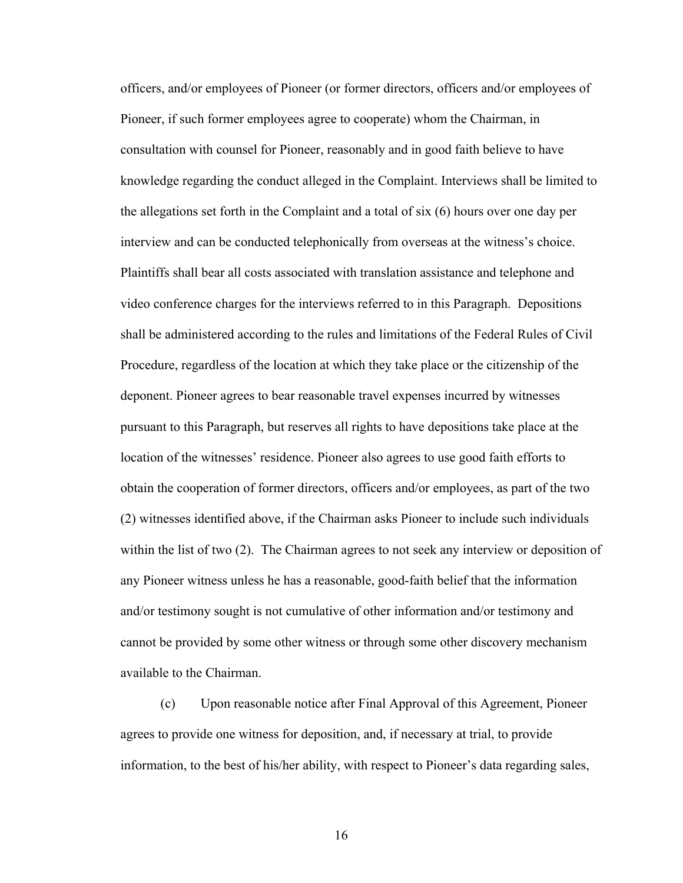officers, and/or employees of Pioneer (or former directors, officers and/or employees of Pioneer, if such former employees agree to cooperate) whom the Chairman, in consultation with counsel for Pioneer, reasonably and in good faith believe to have knowledge regarding the conduct alleged in the Complaint. Interviews shall be limited to the allegations set forth in the Complaint and a total of six (6) hours over one day per interview and can be conducted telephonically from overseas at the witness's choice. Plaintiffs shall bear all costs associated with translation assistance and telephone and video conference charges for the interviews referred to in this Paragraph. Depositions shall be administered according to the rules and limitations of the Federal Rules of Civil Procedure, regardless of the location at which they take place or the citizenship of the deponent. Pioneer agrees to bear reasonable travel expenses incurred by witnesses pursuant to this Paragraph, but reserves all rights to have depositions take place at the location of the witnesses' residence. Pioneer also agrees to use good faith efforts to obtain the cooperation of former directors, officers and/or employees, as part of the two (2) witnesses identified above, if the Chairman asks Pioneer to include such individuals within the list of two (2). The Chairman agrees to not seek any interview or deposition of any Pioneer witness unless he has a reasonable, good-faith belief that the information and/or testimony sought is not cumulative of other information and/or testimony and cannot be provided by some other witness or through some other discovery mechanism available to the Chairman.

(c) Upon reasonable notice after Final Approval of this Agreement, Pioneer agrees to provide one witness for deposition, and, if necessary at trial, to provide information, to the best of his/her ability, with respect to Pioneer's data regarding sales,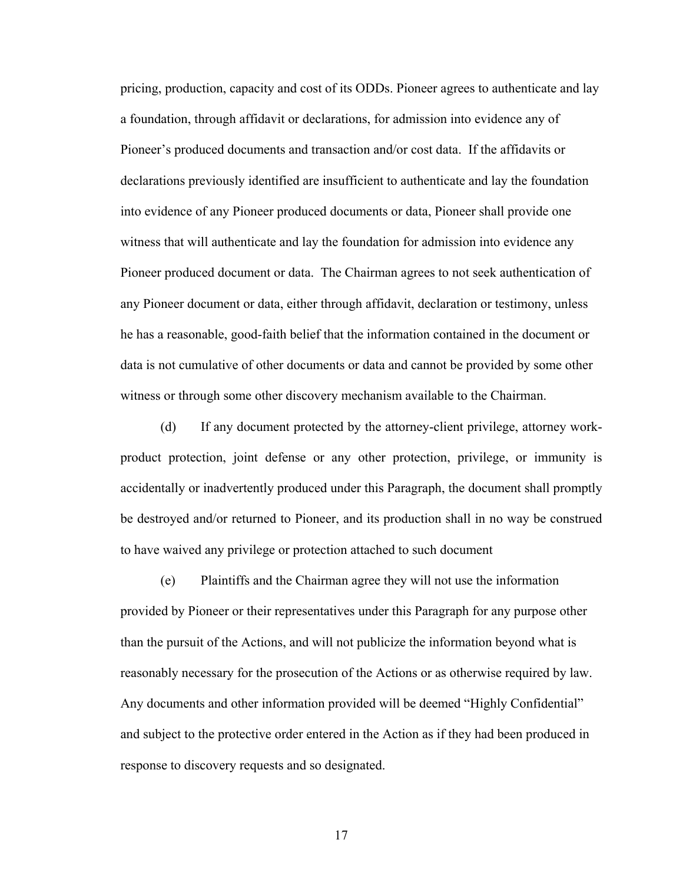pricing, production, capacity and cost of its ODDs. Pioneer agrees to authenticate and lay a foundation, through affidavit or declarations, for admission into evidence any of Pioneer's produced documents and transaction and/or cost data. If the affidavits or declarations previously identified are insufficient to authenticate and lay the foundation into evidence of any Pioneer produced documents or data, Pioneer shall provide one witness that will authenticate and lay the foundation for admission into evidence any Pioneer produced document or data. The Chairman agrees to not seek authentication of any Pioneer document or data, either through affidavit, declaration or testimony, unless he has a reasonable, good-faith belief that the information contained in the document or data is not cumulative of other documents or data and cannot be provided by some other witness or through some other discovery mechanism available to the Chairman.

(d) If any document protected by the attorney-client privilege, attorney workproduct protection, joint defense or any other protection, privilege, or immunity is accidentally or inadvertently produced under this Paragraph, the document shall promptly be destroyed and/or returned to Pioneer, and its production shall in no way be construed to have waived any privilege or protection attached to such document

(e) Plaintiffs and the Chairman agree they will not use the information provided by Pioneer or their representatives under this Paragraph for any purpose other than the pursuit of the Actions, and will not publicize the information beyond what is reasonably necessary for the prosecution of the Actions or as otherwise required by law. Any documents and other information provided will be deemed "Highly Confidential" and subject to the protective order entered in the Action as if they had been produced in response to discovery requests and so designated.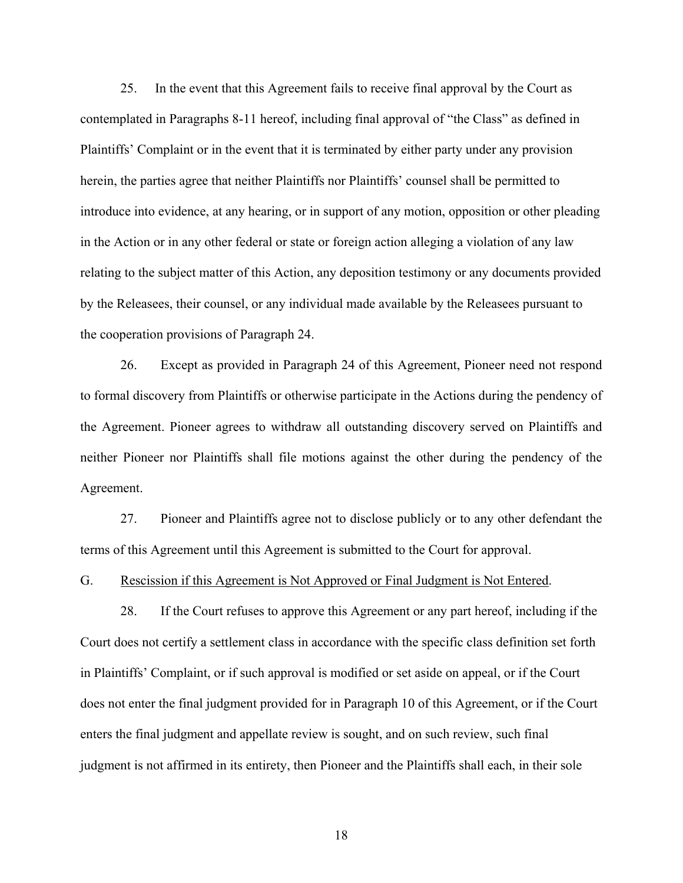25. In the event that this Agreement fails to receive final approval by the Court as contemplated in Paragraphs 8-11 hereof, including final approval of "the Class" as defined in Plaintiffs' Complaint or in the event that it is terminated by either party under any provision herein, the parties agree that neither Plaintiffs nor Plaintiffs' counsel shall be permitted to introduce into evidence, at any hearing, or in support of any motion, opposition or other pleading in the Action or in any other federal or state or foreign action alleging a violation of any law relating to the subject matter of this Action, any deposition testimony or any documents provided by the Releasees, their counsel, or any individual made available by the Releasees pursuant to the cooperation provisions of Paragraph 24.

26. Except as provided in Paragraph 24 of this Agreement, Pioneer need not respond to formal discovery from Plaintiffs or otherwise participate in the Actions during the pendency of the Agreement. Pioneer agrees to withdraw all outstanding discovery served on Plaintiffs and neither Pioneer nor Plaintiffs shall file motions against the other during the pendency of the Agreement.

27. Pioneer and Plaintiffs agree not to disclose publicly or to any other defendant the terms of this Agreement until this Agreement is submitted to the Court for approval.

G. Rescission if this Agreement is Not Approved or Final Judgment is Not Entered.

28. If the Court refuses to approve this Agreement or any part hereof, including if the Court does not certify a settlement class in accordance with the specific class definition set forth in Plaintiffs' Complaint, or if such approval is modified or set aside on appeal, or if the Court does not enter the final judgment provided for in Paragraph 10 of this Agreement, or if the Court enters the final judgment and appellate review is sought, and on such review, such final judgment is not affirmed in its entirety, then Pioneer and the Plaintiffs shall each, in their sole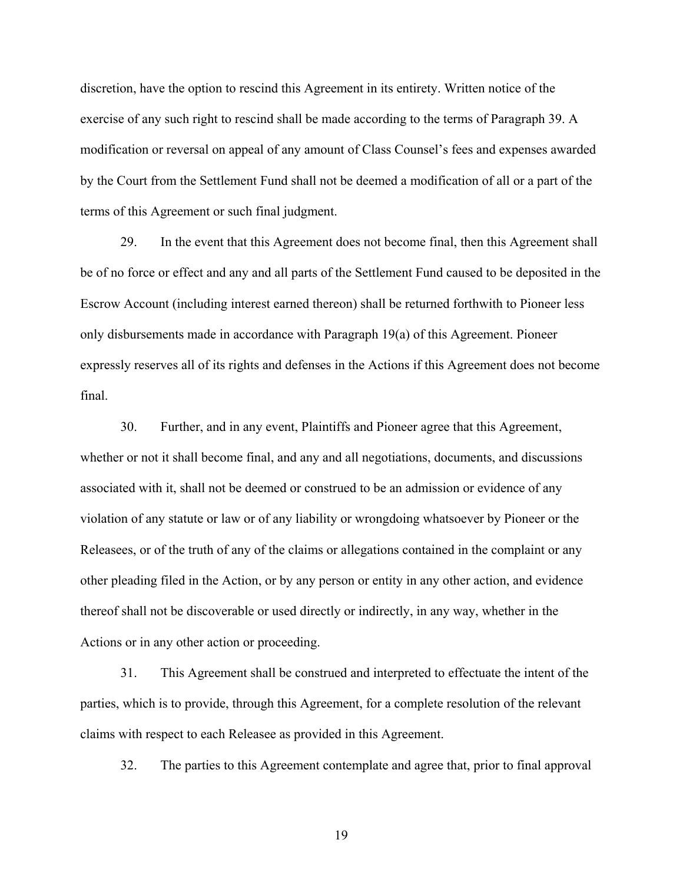discretion, have the option to rescind this Agreement in its entirety. Written notice of the exercise of any such right to rescind shall be made according to the terms of Paragraph 39. A modification or reversal on appeal of any amount of Class Counsel's fees and expenses awarded by the Court from the Settlement Fund shall not be deemed a modification of all or a part of the terms of this Agreement or such final judgment.

29. In the event that this Agreement does not become final, then this Agreement shall be of no force or effect and any and all parts of the Settlement Fund caused to be deposited in the Escrow Account (including interest earned thereon) shall be returned forthwith to Pioneer less only disbursements made in accordance with Paragraph 19(a) of this Agreement. Pioneer expressly reserves all of its rights and defenses in the Actions if this Agreement does not become final.

30. Further, and in any event, Plaintiffs and Pioneer agree that this Agreement, whether or not it shall become final, and any and all negotiations, documents, and discussions associated with it, shall not be deemed or construed to be an admission or evidence of any violation of any statute or law or of any liability or wrongdoing whatsoever by Pioneer or the Releasees, or of the truth of any of the claims or allegations contained in the complaint or any other pleading filed in the Action, or by any person or entity in any other action, and evidence thereof shall not be discoverable or used directly or indirectly, in any way, whether in the Actions or in any other action or proceeding.

31. This Agreement shall be construed and interpreted to effectuate the intent of the parties, which is to provide, through this Agreement, for a complete resolution of the relevant claims with respect to each Releasee as provided in this Agreement.

32. The parties to this Agreement contemplate and agree that, prior to final approval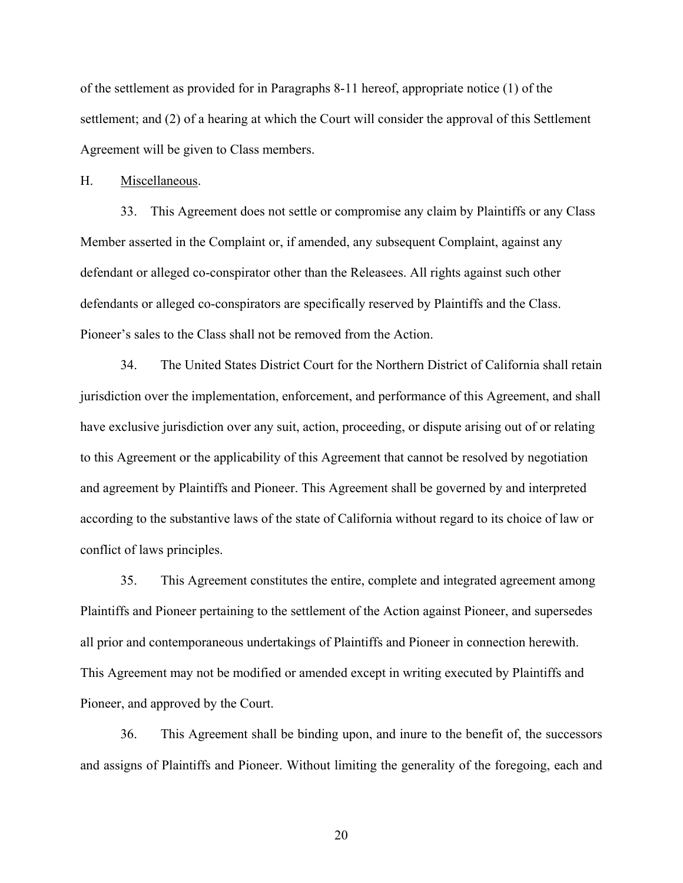of the settlement as provided for in Paragraphs 8-11 hereof, appropriate notice (1) of the settlement; and (2) of a hearing at which the Court will consider the approval of this Settlement Agreement will be given to Class members.

#### H. Miscellaneous.

33. This Agreement does not settle or compromise any claim by Plaintiffs or any Class Member asserted in the Complaint or, if amended, any subsequent Complaint, against any defendant or alleged co-conspirator other than the Releasees. All rights against such other defendants or alleged co-conspirators are specifically reserved by Plaintiffs and the Class. Pioneer's sales to the Class shall not be removed from the Action.

34. The United States District Court for the Northern District of California shall retain jurisdiction over the implementation, enforcement, and performance of this Agreement, and shall have exclusive jurisdiction over any suit, action, proceeding, or dispute arising out of or relating to this Agreement or the applicability of this Agreement that cannot be resolved by negotiation and agreement by Plaintiffs and Pioneer. This Agreement shall be governed by and interpreted according to the substantive laws of the state of California without regard to its choice of law or conflict of laws principles.

35. This Agreement constitutes the entire, complete and integrated agreement among Plaintiffs and Pioneer pertaining to the settlement of the Action against Pioneer, and supersedes all prior and contemporaneous undertakings of Plaintiffs and Pioneer in connection herewith. This Agreement may not be modified or amended except in writing executed by Plaintiffs and Pioneer, and approved by the Court.

36. This Agreement shall be binding upon, and inure to the benefit of, the successors and assigns of Plaintiffs and Pioneer. Without limiting the generality of the foregoing, each and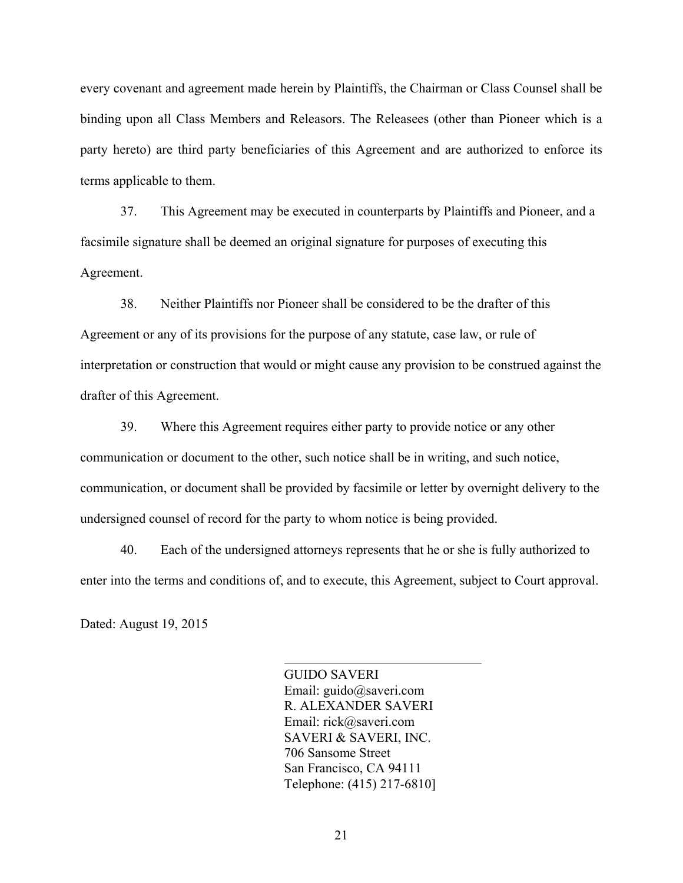every covenant and agreement made herein by Plaintiffs, the Chairman or Class Counsel shall be binding upon all Class Members and Releasors. The Releasees (other than Pioneer which is a party hereto) are third party beneficiaries of this Agreement and are authorized to enforce its terms applicable to them.

37. This Agreement may be executed in counterparts by Plaintiffs and Pioneer, and a facsimile signature shall be deemed an original signature for purposes of executing this Agreement.

38. Neither Plaintiffs nor Pioneer shall be considered to be the drafter of this Agreement or any of its provisions for the purpose of any statute, case law, or rule of interpretation or construction that would or might cause any provision to be construed against the drafter of this Agreement.

39. Where this Agreement requires either party to provide notice or any other communication or document to the other, such notice shall be in writing, and such notice, communication, or document shall be provided by facsimile or letter by overnight delivery to the undersigned counsel of record for the party to whom notice is being provided.

40. Each of the undersigned attorneys represents that he or she is fully authorized to enter into the terms and conditions of, and to execute, this Agreement, subject to Court approval.

l

Dated: August 19, 2015

GUIDO SAVERI Email: guido@saveri.com R. ALEXANDER SAVERI Email: rick@saveri.com SAVERI & SAVERI, INC. 706 Sansome Street San Francisco, CA 94111 Telephone: (415) 217-6810]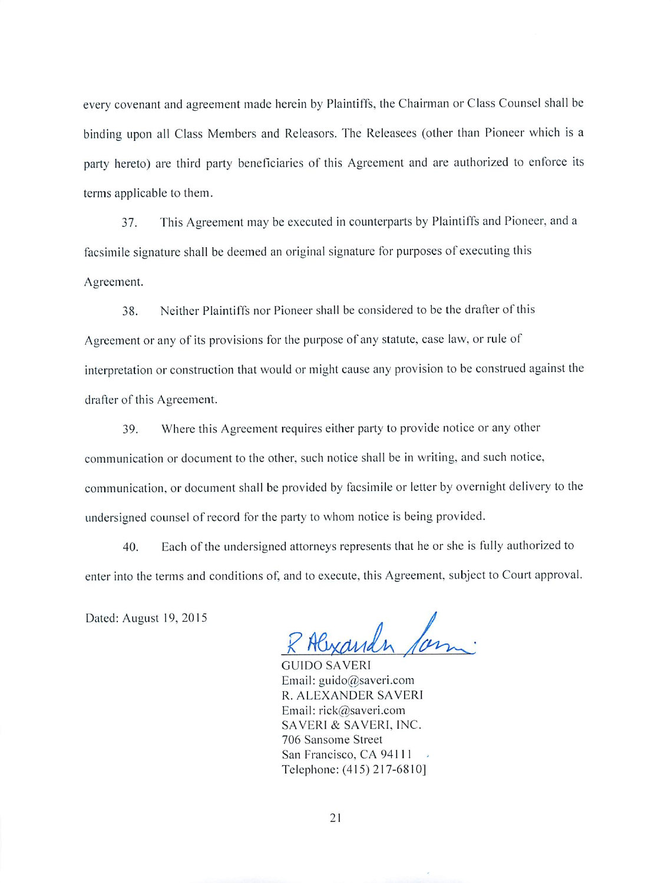every covenant and agreement made herein by Plaintiffs, the Chairman or Class Counsel shall be binding upon all Class Members and Releasors. The Releasees (other than Pioneer which is a party hereto) are third party beneficiaries of this Agreement and are authorized to enforce its terms applicable to them.

This Agreement may be executed in counterparts by Plaintiffs and Pioneer, and a 37. facsimile signature shall be deemed an original signature for purposes of executing this Agreement.

Neither Plaintiffs nor Pioneer shall be considered to be the drafter of this 38. Agreement or any of its provisions for the purpose of any statute, case law, or rule of interpretation or construction that would or might cause any provision to be construed against the drafter of this Agreement.

Where this Agreement requires either party to provide notice or any other 39. communication or document to the other, such notice shall be in writing, and such notice, communication, or document shall be provided by facsimile or letter by overnight delivery to the undersigned counsel of record for the party to whom notice is being provided.

Each of the undersigned attorneys represents that he or she is fully authorized to 40. enter into the terms and conditions of, and to execute, this Agreement, subject to Court approval.

Dated: August 19, 2015

Alexander for

**GUIDO SAVERI** Email: guido@saveri.com R. ALEXANDER SAVERI Email: rick@saveri.com SAVERI & SAVERI, INC. 706 Sansome Street San Francisco, CA 94111  $\bar{\omega}$ Telephone: (415) 217-6810]